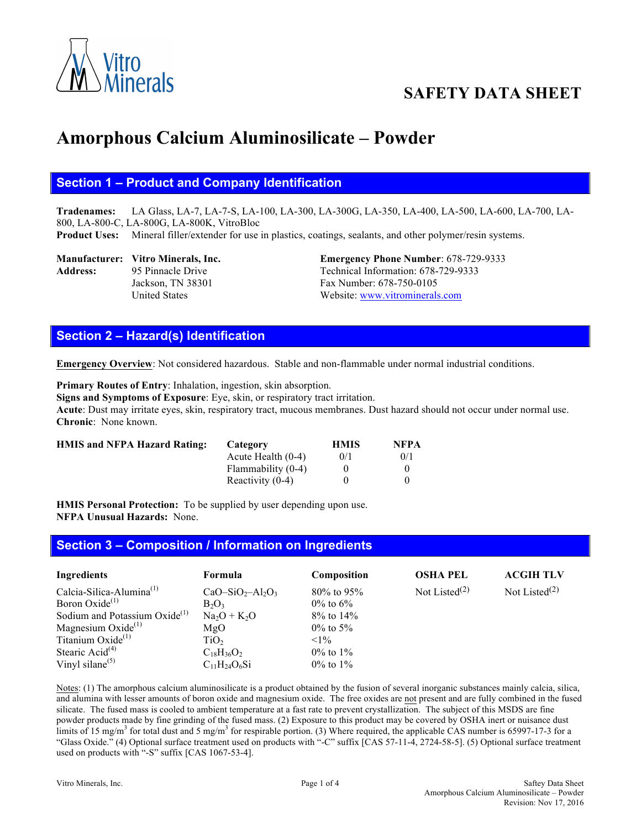

# **SAFETY DATA SHEET**

# **Amorphous Calcium Aluminosilicate – Powder**

#### **Section 1 – Product and Company Identification**

**Tradenames:** LA Glass, LA-7, LA-7-S, LA-100, LA-300, LA-300G, LA-350, LA-400, LA-500, LA-600, LA-700, LA-800, LA-800-C, LA-800G, LA-800K, VitroBloc

**Product Uses:** Mineral filler/extender for use in plastics, coatings, sealants, and other polymer/resin systems.

Address: 95 Pinnacle Drive Technical Information: 678-729-9333

**Manufacturer: Vitro Minerals, Inc. Emergency Phone Number**: 678-729-9333 Jackson, TN 38301 Fax Number: 678-750-0105 United States Website: www.vitrominerals.com

## **Section 2 – Hazard(s) Identification**

**Emergency Overview**: Not considered hazardous. Stable and non-flammable under normal industrial conditions.

**Primary Routes of Entry**: Inhalation, ingestion, skin absorption. **Signs and Symptoms of Exposure**: Eye, skin, or respiratory tract irritation. **Acute**: Dust may irritate eyes, skin, respiratory tract, mucous membranes. Dust hazard should not occur under normal use. **Chronic**: None known.

| <b>HMIS and NFPA Hazard Rating:</b> | Category             | <b>HMIS</b> | <b>NFPA</b>  |
|-------------------------------------|----------------------|-------------|--------------|
|                                     | Acute Health $(0-4)$ | 0/1         | 0/1          |
|                                     | Flammability (0-4)   |             | $\theta$     |
|                                     | Reactivity $(0-4)$   | $^{\prime}$ | $\mathbf{a}$ |

**HMIS Personal Protection:** To be supplied by user depending upon use. **NFPA Unusual Hazards:** None.

#### **Section 3 – Composition / Information on Ingredients**

| Ingredients                               | Formula             | Composition     | <b>OSHA PEL</b>  | <b>ACGIH TLV</b> |
|-------------------------------------------|---------------------|-----------------|------------------|------------------|
| Calcia-Silica-Alumina $^{(1)}$            | $CaO-SiO2-Al2O3$    | $80\%$ to 95%   | Not Listed $(2)$ | Not Listed $(2)$ |
| Boron Oxide <sup>(1)</sup>                | $B_2O_3$            | $0\%$ to $6\%$  |                  |                  |
| Sodium and Potassium Oxide <sup>(1)</sup> | $Na2O + K2O$        | $8\%$ to $14\%$ |                  |                  |
| Magnesium Oxide $(1)$                     | MgO                 | $0\%$ to 5%     |                  |                  |
| Titanium $Oxide^{(1)}$                    | TiO <sub>2</sub>    | $< 1\%$         |                  |                  |
| Stearic Acid $(4)$                        | $C_{18}H_{36}O_2$   | $0\%$ to $1\%$  |                  |                  |
| Vinyl silane $(5)$                        | $C_{11}H_{24}O_6Si$ | $0\%$ to $1\%$  |                  |                  |

Notes: (1) The amorphous calcium aluminosilicate is a product obtained by the fusion of several inorganic substances mainly calcia, silica, and alumina with lesser amounts of boron oxide and magnesium oxide. The free oxides are not present and are fully combined in the fused silicate. The fused mass is cooled to ambient temperature at a fast rate to prevent crystallization. The subject of this MSDS are fine powder products made by fine grinding of the fused mass. (2) Exposure to this product may be covered by OSHA inert or nuisance dust limits of 15 mg/m<sup>3</sup> for total dust and 5 mg/m<sup>3</sup> for respirable portion. (3) Where required, the applicable CAS number is 65997-17-3 for a "Glass Oxide." (4) Optional surface treatment used on products with "-C" suffix [CAS 57-11-4, 2724-58-5]. (5) Optional surface treatment used on products with "-S" suffix [CAS 1067-53-4].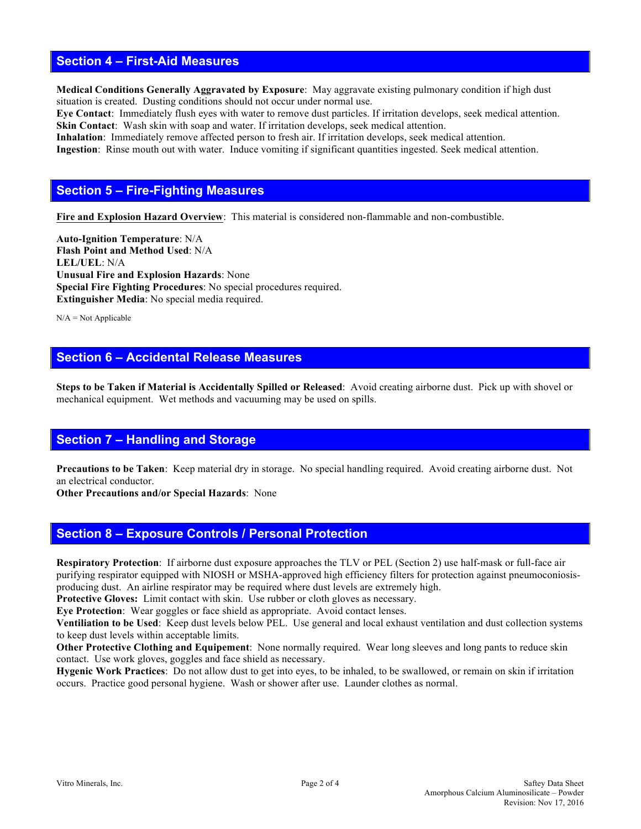#### **Section 4 – First-Aid Measures**

**Medical Conditions Generally Aggravated by Exposure**: May aggravate existing pulmonary condition if high dust situation is created. Dusting conditions should not occur under normal use.

**Eye Contact**: Immediately flush eyes with water to remove dust particles. If irritation develops, seek medical attention. **Skin Contact**: Wash skin with soap and water. If irritation develops, seek medical attention.

**Inhalation**: Immediately remove affected person to fresh air. If irritation develops, seek medical attention. **Ingestion**: Rinse mouth out with water. Induce vomiting if significant quantities ingested. Seek medical attention.

#### **Section 5 – Fire-Fighting Measures**

**Fire and Explosion Hazard Overview**: This material is considered non-flammable and non-combustible.

**Auto-Ignition Temperature**: N/A **Flash Point and Method Used**: N/A **LEL/UEL**: N/A **Unusual Fire and Explosion Hazards**: None **Special Fire Fighting Procedures**: No special procedures required. **Extinguisher Media**: No special media required.

 $N/A = Not$  Applicable

### **Section 6 – Accidental Release Measures**

**Steps to be Taken if Material is Accidentally Spilled or Released**: Avoid creating airborne dust. Pick up with shovel or mechanical equipment. Wet methods and vacuuming may be used on spills.

#### **Section 7 – Handling and Storage**

**Precautions to be Taken**: Keep material dry in storage. No special handling required. Avoid creating airborne dust. Not an electrical conductor.

**Other Precautions and/or Special Hazards**: None

#### **Section 8 – Exposure Controls / Personal Protection**

**Respiratory Protection**: If airborne dust exposure approaches the TLV or PEL (Section 2) use half-mask or full-face air purifying respirator equipped with NIOSH or MSHA-approved high efficiency filters for protection against pneumoconiosisproducing dust. An airline respirator may be required where dust levels are extremely high.

Protective Gloves: Limit contact with skin. Use rubber or cloth gloves as necessary.

**Eye Protection**: Wear goggles or face shield as appropriate. Avoid contact lenses.

**Ventiliation to be Used**: Keep dust levels below PEL. Use general and local exhaust ventilation and dust collection systems to keep dust levels within acceptable limits.

**Other Protective Clothing and Equipement**: None normally required. Wear long sleeves and long pants to reduce skin contact. Use work gloves, goggles and face shield as necessary.

**Hygenic Work Practices**: Do not allow dust to get into eyes, to be inhaled, to be swallowed, or remain on skin if irritation occurs. Practice good personal hygiene. Wash or shower after use. Launder clothes as normal.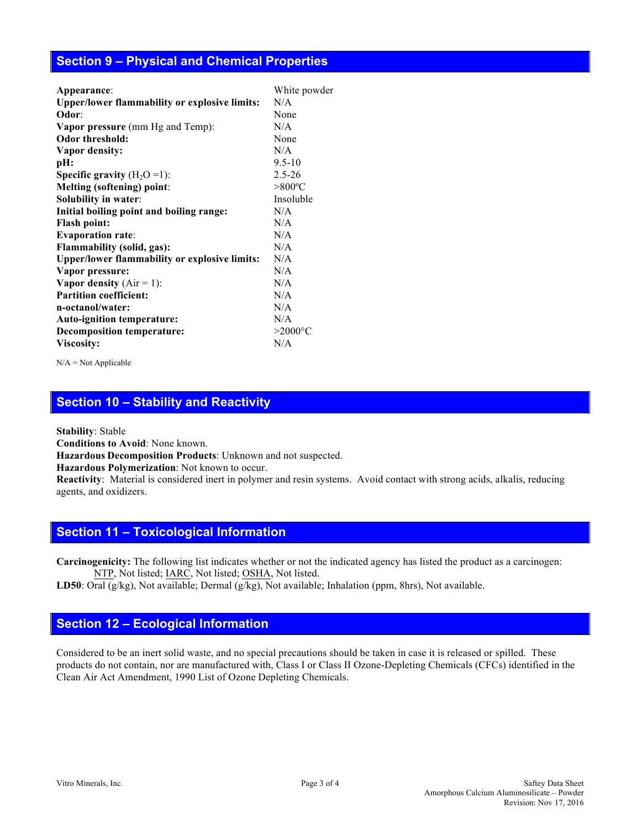#### **Section 9 – Physical and Chemical Properties**

| Appearance:                                          | White powder     |
|------------------------------------------------------|------------------|
| <b>Upper/lower flammability or explosive limits:</b> | N/A              |
| Odor:                                                | None             |
| <b>Vapor pressure</b> (mm Hg and Temp):              | N/A              |
| Odor threshold:                                      | None             |
| Vapor density:                                       | N/A              |
| pH:                                                  | $9.5 - 10$       |
| <b>Specific gravity</b> $(H_2O=1)$ :                 | $2.5 - 26$       |
| <b>Melting (softening) point:</b>                    | $>800^{\circ}$ C |
| Solubility in water:                                 | Insoluble        |
| Initial boiling point and boiling range:             | N/A              |
| <b>Flash point:</b>                                  | N/A              |
| <b>Evaporation rate:</b>                             | N/A              |
| Flammability (solid, gas):                           | N/A              |
| <b>Upper/lower flammability or explosive limits:</b> | N/A              |
| Vapor pressure:                                      | N/A              |
| Vapor density $(Air = 1)$ :                          | N/A              |
| <b>Partition coefficient:</b>                        | N/A              |
| n-octanol/water:                                     | N/A              |
| Auto-ignition temperature:                           | N/A              |
| <b>Decomposition temperature:</b>                    | $>2000$ °C       |
| Viscosity:                                           | N/A              |
|                                                      |                  |

N/A = Not Applicable

# **Section 10 – Stability and Reactivity**

**Stability**: Stable

**Conditions to Avoid**: None known.

**Hazardous Decomposition Products**: Unknown and not suspected.

**Hazardous Polymerization**: Not known to occur.

**Reactivity**:Material is considered inert in polymer and resin systems. Avoid contact with strong acids, alkalis, reducing agents, and oxidizers.

#### **Section 11 – Toxicological Information**

**Carcinogenicity:** The following list indicates whether or not the indicated agency has listed the product as a carcinogen: NTP, Not listed; IARC, Not listed; OSHA, Not listed.

**LD50**: Oral (g/kg), Not available; Dermal (g/kg), Not available; Inhalation (ppm, 8hrs), Not available.

#### **Section 12 – Ecological Information**

Considered to be an inert solid waste, and no special precautions should be taken in case it is released or spilled. These products do not contain, nor are manufactured with, Class I or Class II Ozone-Depleting Chemicals (CFCs) identified in the Clean Air Act Amendment, 1990 List of Ozone Depleting Chemicals.